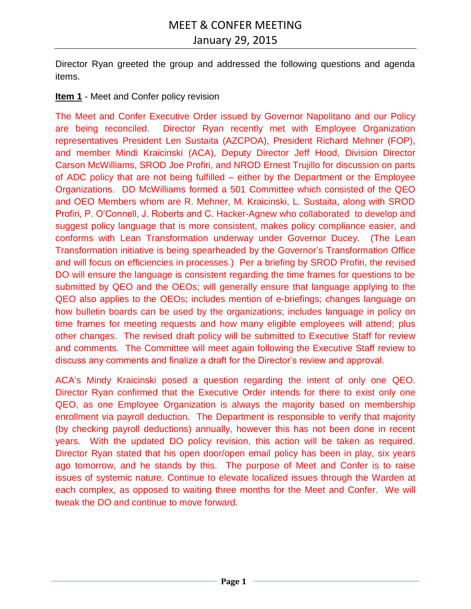Director Ryan greeted the group and addressed the following questions and agenda items.

### **Item 1** - Meet and Confer policy revision

The Meet and Confer Executive Order issued by Governor Napolitano and our Policy are being reconciled. Director Ryan recently met with Employee Organization representatives President Len Sustaita (AZCPOA), President Richard Mehner (FOP), and member Mindi Kraicinski (ACA), Deputy Director Jeff Hood, Division Director Carson McWilliams, SROD Joe Profiri, and NROD Ernest Trujillo for discussion on parts of ADC policy that are not being fulfilled – either by the Department or the Employee Organizations. DD McWilliams formed a 501 Committee which consisted of the QEO and OEO Members whom are R. Mehner, M. Kraicinski, L. Sustaita, along with SROD Profiri, P. O'Connell, J. Roberts and C. Hacker-Agnew who collaborated to develop and suggest policy language that is more consistent, makes policy compliance easier, and conforms with Lean Transformation underway under Governor Ducey. (The Lean Transformation initiative is being spearheaded by the Governor's Transformation Office and will focus on efficiencies in processes.) Per a briefing by SROD Profiri, the revised DO will ensure the language is consistent regarding the time frames for questions to be submitted by QEO and the OEOs; will generally ensure that language applying to the QEO also applies to the OEOs; includes mention of e-briefings; changes language on how bulletin boards can be used by the organizations; includes language in policy on time frames for meeting requests and how many eligible employees will attend; plus other changes. The revised draft policy will be submitted to Executive Staff for review and comments. The Committee will meet again following the Executive Staff review to discuss any comments and finalize a draft for the Director's review and approval.

ACA's Mindy Kraicinski posed a question regarding the intent of only one QEO. Director Ryan confirmed that the Executive Order intends for there to exist only one QEO, as one Employee Organization is always the majority based on membership enrollment via payroll deduction. The Department is responsible to verify that majority (by checking payroll deductions) annually, however this has not been done in recent years. With the updated DO policy revision, this action will be taken as required. Director Ryan stated that his open door/open email policy has been in play, six years ago tomorrow, and he stands by this. The purpose of Meet and Confer is to raise issues of systemic nature. Continue to elevate localized issues through the Warden at each complex, as opposed to waiting three months for the Meet and Confer. We will tweak the DO and continue to move forward.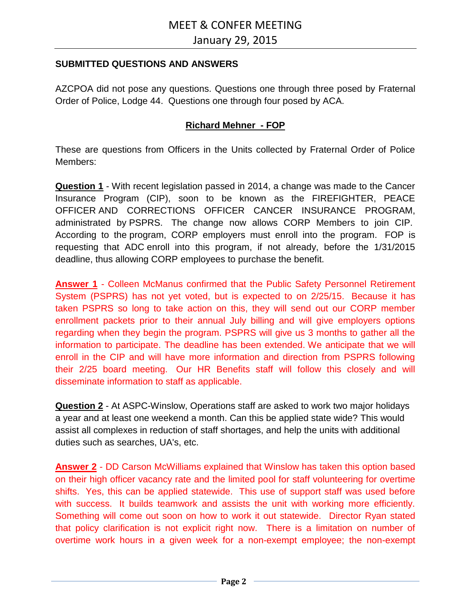### **SUBMITTED QUESTIONS AND ANSWERS**

AZCPOA did not pose any questions. Questions one through three posed by Fraternal Order of Police, Lodge 44. Questions one through four posed by ACA.

### **Richard Mehner - FOP**

These are questions from Officers in the Units collected by Fraternal Order of Police Members:

**Question 1** - With recent legislation passed in 2014, a change was made to the Cancer Insurance Program (CIP), soon to be known as the FIREFIGHTER, PEACE OFFICER AND CORRECTIONS OFFICER CANCER INSURANCE PROGRAM, administrated by PSPRS. The change now allows CORP Members to join CIP. According to the program, CORP employers must enroll into the program. FOP is requesting that ADC enroll into this program, if not already, before the 1/31/2015 deadline, thus allowing CORP employees to purchase the benefit.

**Answer 1** - Colleen McManus confirmed that the Public Safety Personnel Retirement System (PSPRS) has not yet voted, but is expected to on 2/25/15. Because it has taken PSPRS so long to take action on this, they will send out our CORP member enrollment packets prior to their annual July billing and will give employers options regarding when they begin the program. PSPRS will give us 3 months to gather all the information to participate. The deadline has been extended. We anticipate that we will enroll in the CIP and will have more information and direction from PSPRS following their 2/25 board meeting. Our HR Benefits staff will follow this closely and will disseminate information to staff as applicable.

**Question 2** - At ASPC-Winslow, Operations staff are asked to work two major holidays a year and at least one weekend a month. Can this be applied state wide? This would assist all complexes in reduction of staff shortages, and help the units with additional duties such as searches, UA's, etc.

**Answer 2** - DD Carson McWilliams explained that Winslow has taken this option based on their high officer vacancy rate and the limited pool for staff volunteering for overtime shifts. Yes, this can be applied statewide. This use of support staff was used before with success. It builds teamwork and assists the unit with working more efficiently. Something will come out soon on how to work it out statewide. Director Ryan stated that policy clarification is not explicit right now. There is a limitation on number of overtime work hours in a given week for a non-exempt employee; the non-exempt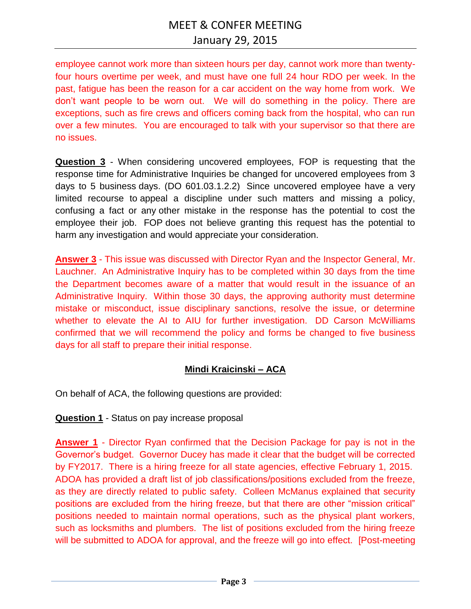employee cannot work more than sixteen hours per day, cannot work more than twentyfour hours overtime per week, and must have one full 24 hour RDO per week. In the past, fatigue has been the reason for a car accident on the way home from work. We don't want people to be worn out. We will do something in the policy. There are exceptions, such as fire crews and officers coming back from the hospital, who can run over a few minutes. You are encouraged to talk with your supervisor so that there are no issues.

**Question 3** - When considering uncovered employees, FOP is requesting that the response time for Administrative Inquiries be changed for uncovered employees from 3 days to 5 business days. (DO 601.03.1.2.2) Since uncovered employee have a very limited recourse to appeal a discipline under such matters and missing a policy, confusing a fact or any other mistake in the response has the potential to cost the employee their job. FOP does not believe granting this request has the potential to harm any investigation and would appreciate your consideration.

**Answer 3** - This issue was discussed with Director Ryan and the Inspector General, Mr. Lauchner. An Administrative Inquiry has to be completed within 30 days from the time the Department becomes aware of a matter that would result in the issuance of an Administrative Inquiry. Within those 30 days, the approving authority must determine mistake or misconduct, issue disciplinary sanctions, resolve the issue, or determine whether to elevate the AI to AIU for further investigation. DD Carson McWilliams confirmed that we will recommend the policy and forms be changed to five business days for all staff to prepare their initial response.

# **Mindi Kraicinski – ACA**

On behalf of ACA, the following questions are provided:

**Question 1** - Status on pay increase proposal

**Answer 1** - Director Ryan confirmed that the Decision Package for pay is not in the Governor's budget. Governor Ducey has made it clear that the budget will be corrected by FY2017. There is a hiring freeze for all state agencies, effective February 1, 2015. ADOA has provided a draft list of job classifications/positions excluded from the freeze, as they are directly related to public safety. Colleen McManus explained that security positions are excluded from the hiring freeze, but that there are other "mission critical" positions needed to maintain normal operations, such as the physical plant workers, such as locksmiths and plumbers. The list of positions excluded from the hiring freeze will be submitted to ADOA for approval, and the freeze will go into effect. [Post-meeting]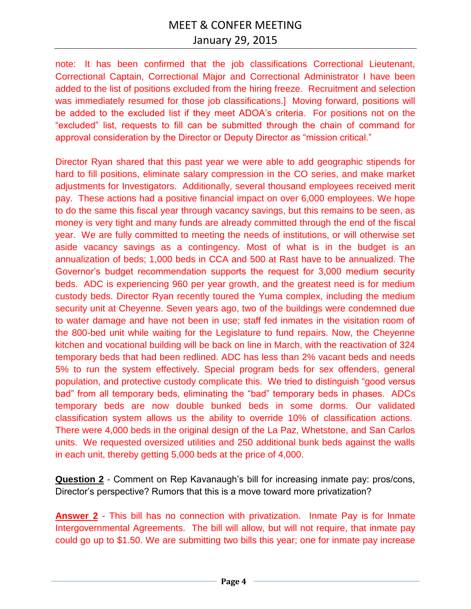# MEET & CONFER MEETING January 29, 2015

note: It has been confirmed that the job classifications Correctional Lieutenant, Correctional Captain, Correctional Major and Correctional Administrator I have been added to the list of positions excluded from the hiring freeze. Recruitment and selection was immediately resumed for those job classifications.] Moving forward, positions will be added to the excluded list if they meet ADOA's criteria. For positions not on the "excluded" list, requests to fill can be submitted through the chain of command for approval consideration by the Director or Deputy Director as "mission critical."

Director Ryan shared that this past year we were able to add geographic stipends for hard to fill positions, eliminate salary compression in the CO series, and make market adjustments for Investigators. Additionally, several thousand employees received merit pay. These actions had a positive financial impact on over 6,000 employees. We hope to do the same this fiscal year through vacancy savings, but this remains to be seen, as money is very tight and many funds are already committed through the end of the fiscal year. We are fully committed to meeting the needs of institutions, or will otherwise set aside vacancy savings as a contingency. Most of what is in the budget is an annualization of beds; 1,000 beds in CCA and 500 at Rast have to be annualized. The Governor's budget recommendation supports the request for 3,000 medium security beds. ADC is experiencing 960 per year growth, and the greatest need is for medium custody beds. Director Ryan recently toured the Yuma complex, including the medium security unit at Cheyenne. Seven years ago, two of the buildings were condemned due to water damage and have not been in use; staff fed inmates in the visitation room of the 800-bed unit while waiting for the Legislature to fund repairs. Now, the Cheyenne kitchen and vocational building will be back on line in March, with the reactivation of 324 temporary beds that had been redlined. ADC has less than 2% vacant beds and needs 5% to run the system effectively. Special program beds for sex offenders, general population, and protective custody complicate this. We tried to distinguish "good versus bad" from all temporary beds, eliminating the "bad" temporary beds in phases. ADCs temporary beds are now double bunked beds in some dorms. Our validated classification system allows us the ability to override 10% of classification actions. There were 4,000 beds in the original design of the La Paz, Whetstone, and San Carlos units. We requested oversized utilities and 250 additional bunk beds against the walls in each unit, thereby getting 5,000 beds at the price of 4,000.

**Question 2** - Comment on Rep Kavanaugh's bill for increasing inmate pay: pros/cons, Director's perspective? Rumors that this is a move toward more privatization?

**Answer 2** - This bill has no connection with privatization. Inmate Pay is for Inmate Intergovernmental Agreements. The bill will allow, but will not require, that inmate pay could go up to \$1.50. We are submitting two bills this year; one for inmate pay increase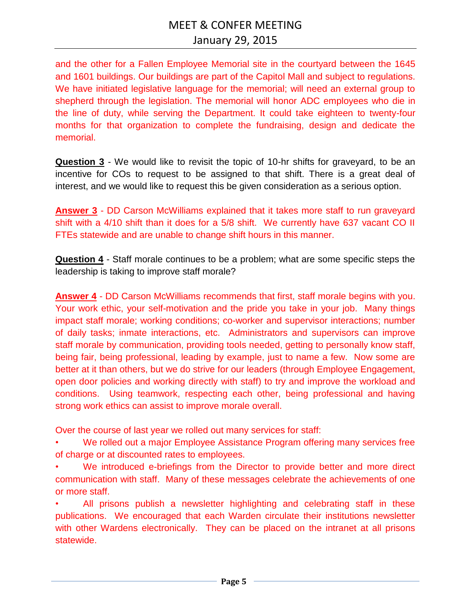and the other for a Fallen Employee Memorial site in the courtyard between the 1645 and 1601 buildings. Our buildings are part of the Capitol Mall and subject to regulations. We have initiated legislative language for the memorial; will need an external group to shepherd through the legislation. The memorial will honor ADC employees who die in the line of duty, while serving the Department. It could take eighteen to twenty-four months for that organization to complete the fundraising, design and dedicate the memorial.

**Question 3** - We would like to revisit the topic of 10-hr shifts for graveyard, to be an incentive for COs to request to be assigned to that shift. There is a great deal of interest, and we would like to request this be given consideration as a serious option.

**Answer 3** - DD Carson McWilliams explained that it takes more staff to run graveyard shift with a 4/10 shift than it does for a 5/8 shift. We currently have 637 vacant CO II FTEs statewide and are unable to change shift hours in this manner.

**Question 4** - Staff morale continues to be a problem; what are some specific steps the leadership is taking to improve staff morale?

**Answer 4** - DD Carson McWilliams recommends that first, staff morale begins with you. Your work ethic, your self-motivation and the pride you take in your job. Many things impact staff morale; working conditions; co-worker and supervisor interactions; number of daily tasks; inmate interactions, etc. Administrators and supervisors can improve staff morale by communication, providing tools needed, getting to personally know staff, being fair, being professional, leading by example, just to name a few. Now some are better at it than others, but we do strive for our leaders (through Employee Engagement, open door policies and working directly with staff) to try and improve the workload and conditions. Using teamwork, respecting each other, being professional and having strong work ethics can assist to improve morale overall.

Over the course of last year we rolled out many services for staff:

We rolled out a major Employee Assistance Program offering many services free of charge or at discounted rates to employees.

We introduced e-briefings from the Director to provide better and more direct communication with staff. Many of these messages celebrate the achievements of one or more staff.

• All prisons publish a newsletter highlighting and celebrating staff in these publications. We encouraged that each Warden circulate their institutions newsletter with other Wardens electronically. They can be placed on the intranet at all prisons statewide.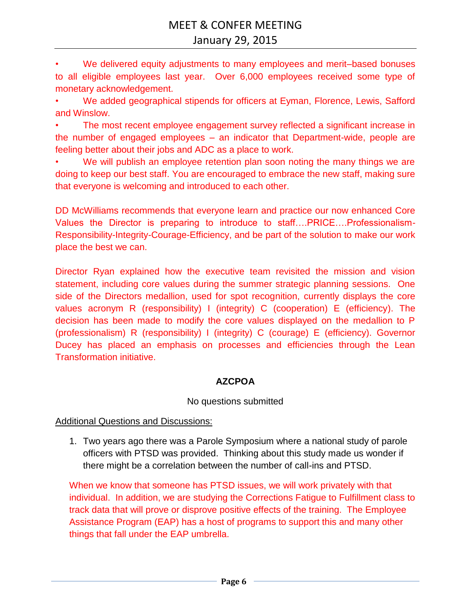We delivered equity adjustments to many employees and merit–based bonuses to all eligible employees last year. Over 6,000 employees received some type of monetary acknowledgement.

• We added geographical stipends for officers at Eyman, Florence, Lewis, Safford and Winslow.

The most recent employee engagement survey reflected a significant increase in the number of engaged employees – an indicator that Department-wide, people are feeling better about their jobs and ADC as a place to work.

We will publish an employee retention plan soon noting the many things we are doing to keep our best staff. You are encouraged to embrace the new staff, making sure that everyone is welcoming and introduced to each other.

DD McWilliams recommends that everyone learn and practice our now enhanced Core Values the Director is preparing to introduce to staff….PRICE….Professionalism-Responsibility-Integrity-Courage-Efficiency, and be part of the solution to make our work place the best we can.

Director Ryan explained how the executive team revisited the mission and vision statement, including core values during the summer strategic planning sessions. One side of the Directors medallion, used for spot recognition, currently displays the core values acronym R (responsibility) I (integrity) C (cooperation) E (efficiency). The decision has been made to modify the core values displayed on the medallion to P (professionalism) R (responsibility) I (integrity) C (courage) E (efficiency). Governor Ducey has placed an emphasis on processes and efficiencies through the Lean Transformation initiative.

# **AZCPOA**

## No questions submitted

Additional Questions and Discussions:

1. Two years ago there was a Parole Symposium where a national study of parole officers with PTSD was provided. Thinking about this study made us wonder if there might be a correlation between the number of call-ins and PTSD.

When we know that someone has PTSD issues, we will work privately with that individual. In addition, we are studying the Corrections Fatigue to Fulfillment class to track data that will prove or disprove positive effects of the training. The Employee Assistance Program (EAP) has a host of programs to support this and many other things that fall under the EAP umbrella.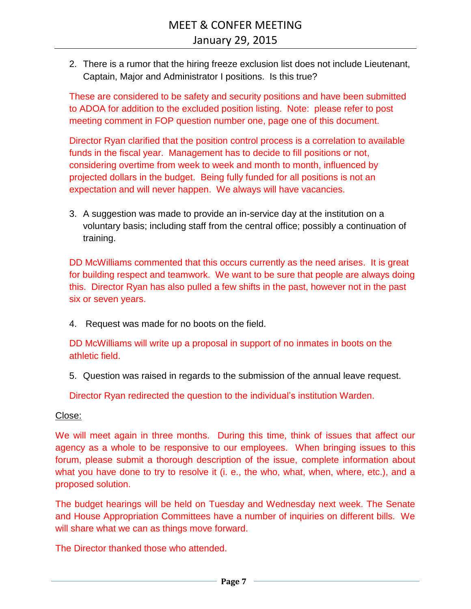2. There is a rumor that the hiring freeze exclusion list does not include Lieutenant, Captain, Major and Administrator I positions. Is this true?

These are considered to be safety and security positions and have been submitted to ADOA for addition to the excluded position listing. Note: please refer to post meeting comment in FOP question number one, page one of this document.

Director Ryan clarified that the position control process is a correlation to available funds in the fiscal year. Management has to decide to fill positions or not, considering overtime from week to week and month to month, influenced by projected dollars in the budget. Being fully funded for all positions is not an expectation and will never happen. We always will have vacancies.

3. A suggestion was made to provide an in-service day at the institution on a voluntary basis; including staff from the central office; possibly a continuation of training.

DD McWilliams commented that this occurs currently as the need arises. It is great for building respect and teamwork. We want to be sure that people are always doing this. Director Ryan has also pulled a few shifts in the past, however not in the past six or seven years.

4. Request was made for no boots on the field.

DD McWilliams will write up a proposal in support of no inmates in boots on the athletic field.

5. Question was raised in regards to the submission of the annual leave request.

Director Ryan redirected the question to the individual's institution Warden.

#### Close:

We will meet again in three months. During this time, think of issues that affect our agency as a whole to be responsive to our employees. When bringing issues to this forum, please submit a thorough description of the issue, complete information about what you have done to try to resolve it (i. e., the who, what, when, where, etc.), and a proposed solution.

The budget hearings will be held on Tuesday and Wednesday next week. The Senate and House Appropriation Committees have a number of inquiries on different bills. We will share what we can as things move forward.

The Director thanked those who attended.